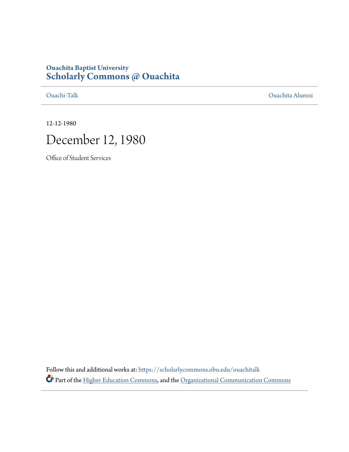# **Ouachita Baptist University [Scholarly Commons @ Ouachita](https://scholarlycommons.obu.edu?utm_source=scholarlycommons.obu.edu%2Fouachitalk%2F21&utm_medium=PDF&utm_campaign=PDFCoverPages)**

[Ouachi-Talk](https://scholarlycommons.obu.edu/ouachitalk?utm_source=scholarlycommons.obu.edu%2Fouachitalk%2F21&utm_medium=PDF&utm_campaign=PDFCoverPages) [Ouachita Alumni](https://scholarlycommons.obu.edu/obu_alum?utm_source=scholarlycommons.obu.edu%2Fouachitalk%2F21&utm_medium=PDF&utm_campaign=PDFCoverPages)

12-12-1980



Office of Student Services

Follow this and additional works at: [https://scholarlycommons.obu.edu/ouachitalk](https://scholarlycommons.obu.edu/ouachitalk?utm_source=scholarlycommons.obu.edu%2Fouachitalk%2F21&utm_medium=PDF&utm_campaign=PDFCoverPages) Part of the [Higher Education Commons](http://network.bepress.com/hgg/discipline/1245?utm_source=scholarlycommons.obu.edu%2Fouachitalk%2F21&utm_medium=PDF&utm_campaign=PDFCoverPages), and the [Organizational Communication Commons](http://network.bepress.com/hgg/discipline/335?utm_source=scholarlycommons.obu.edu%2Fouachitalk%2F21&utm_medium=PDF&utm_campaign=PDFCoverPages)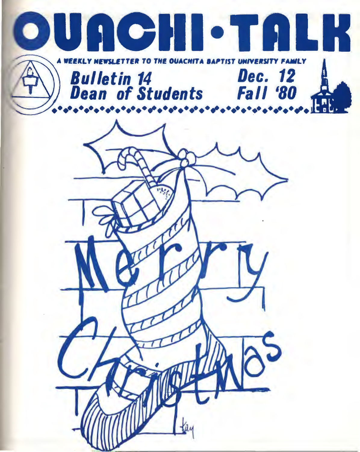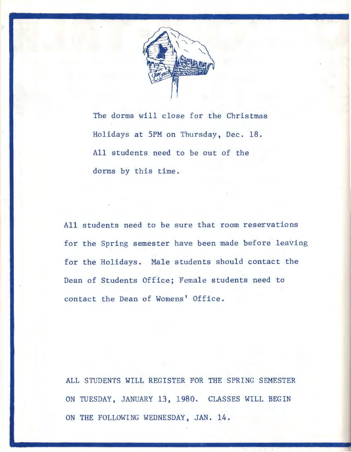

The dorms will close for the Christmas Holidays at 5PM on Thursday, Dec. 18. All students. need to be out of the dorms by this time.

All students need to be sure that room reservations for the Spring semester have been made before leaving for the Holidays. Male students should contact the Dean of Students Office; Female students need to contact the Dean of Womens' Office.

ALL STUDENTS WILL REGISTER FOR THE SPRING SEMESTER ON TUESDAY, JANUARY 13, 1980. CLASSES WILL BEGIN ON THE FOLLOWING WEDNESDAY, JAN. 14.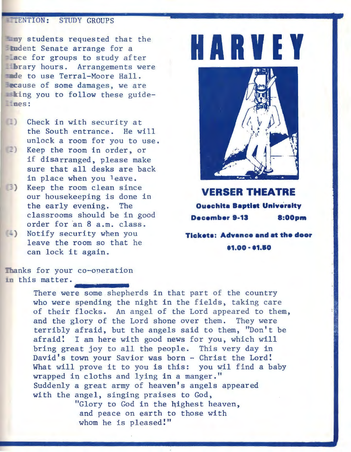## **EXENTION: STUDY GROUPS**

**Lany** students requested that the Example of Senate arrange for a<br>Lace for groups to study after Lac for groups to study after<br> **Harves** have for groups to study after<br> **Harves** hours. Arrangements were ande to use Terral-Moore Hall. **acause of some damages, we are**  $\equiv$ **king you to follow these guide-** $T$  nes:

- Check in with security at the South entrance. He will unlock a room for you to use.
- 2) Keep the room in order, or if disarranged, please make sure that all desks are back in place when you leave.
- ) Keep the room clean since our housekeeping is done in the early evening. The classrooms should be in good order for an 8 a.m. class.
- (-) Notify security when you leave the room so that he can lock it again.



**VERSER THEATRE Ouechita Baptist University December 8-13 8:00pm** 

**Tlcketa: Advanca and at the door .1.00 - .1.10** 

Thanks for your co-operation in this matter.

co-operation<br>e some sheph<br>spending the There were some shepherds in that part of the country who were spending the night in the fields, taking care of their flocks. An angel of the Lord appeared to them, and the glory of the Lord shone over them. They were terribly afraid, but the angels said to them, "Don't be afraid! I am here with good news for you, which will bring great joy to all the people. This very day in David's town your Savior was born - Christ the Lord! What will prove it to you is this: you wil find a baby wrapped in cloths and lying in a manger." Suddenly a great army of heaven's angels appeared with the angel, singing praises to God, "Glory to God in the highest heaven, and peace on earth to those with

whom he is pleased!"